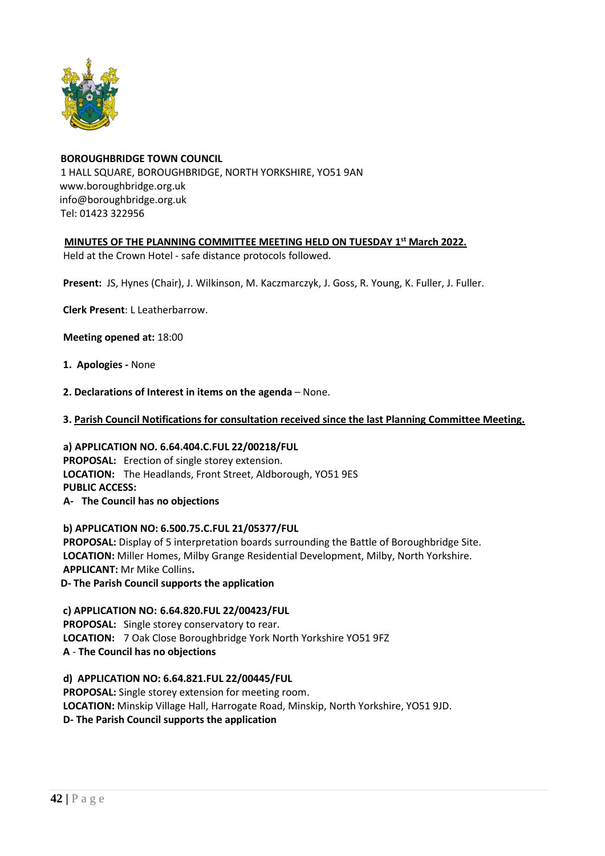

# **BOROUGHBRIDGE TOWN COUNCIL** 1 HALL SQUARE, BOROUGHBRIDGE, NORTH YORKSHIRE, YO51 9AN [www.boroughbridge.org.uk](http://www.boroughbridge.org.uk/) [info@boroughbridge.org.uk](mailto:info@boroughbridge.org.uk) Tel: 01423 322956

# **MINUTES OF THE PLANNING COMMITTEE MEETING HELD ON TUESDAY 1 st March 2022.**

Held at the Crown Hotel - safe distance protocols followed.

 **Present:** JS, Hynes (Chair), J. Wilkinson, M. Kaczmarczyk, J. Goss, R. Young, K. Fuller, J. Fuller.

 **Clerk Present**: L Leatherbarrow.

 **Meeting opened at:** 18:00

- **1. Apologies -** None
- **2. Declarations of Interest in items on the agenda** None.
- **3. Parish Council Notifications for consultation received since the last Planning Committee Meeting.**

 **a) APPLICATION NO. 6.64.404.C.FUL 22/00218/FUL PROPOSAL:** Erection of single storey extension.  **LOCATION:** The Headlands, Front Street, Aldborough, YO51 9ES  **PUBLIC ACCESS: A- The Council has no objections**

 **b) APPLICATION NO: 6.500.75.C.FUL 21/05377/FUL PROPOSAL:** Display of 5 interpretation boards surrounding the Battle of Boroughbridge Site.  **LOCATION:** Miller Homes, Milby Grange Residential Development, Milby, North Yorkshire.  **APPLICANT:** Mr Mike Collins**.**

 **D- The Parish Council supports the application**

 **c) APPLICATION NO: 6.64.820.FUL 22/00423/FUL**

 **PROPOSAL:** Single storey conservatory to rear.  **LOCATION:** 7 Oak Close Boroughbridge York North Yorkshire YO51 9FZ  **A** - **The Council has no objections**

 **d) APPLICATION NO: 6.64.821.FUL 22/00445/FUL PROPOSAL:** Single storey extension for meeting room.

 **LOCATION:** Minskip Village Hall, Harrogate Road, Minskip, North Yorkshire, YO51 9JD.

 **D- The Parish Council supports the application**